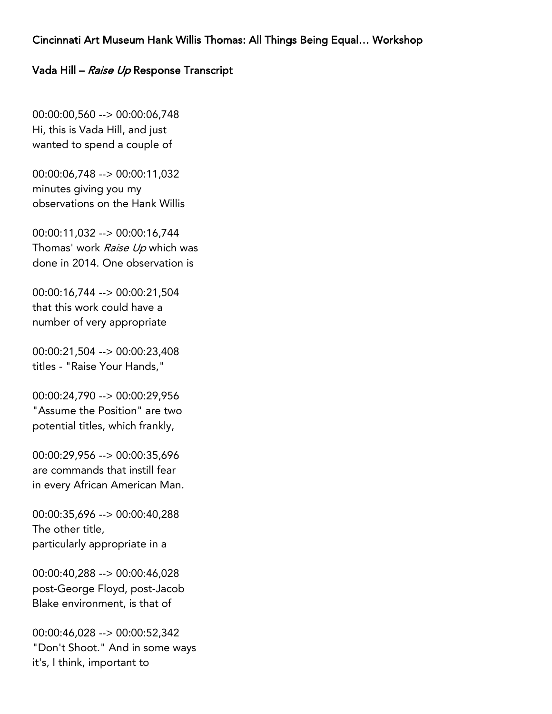## Cincinnati Art Museum Hank Willis Thomas: All Things Being Equal… Workshop

## Vada Hill – Raise Up Response Transcript

00:00:00,560 --> 00:00:06,748 Hi, this is Vada Hill, and just wanted to spend a couple of

00:00:06,748 --> 00:00:11,032 minutes giving you my observations on the Hank Willis

00:00:11,032 --> 00:00:16,744 Thomas' work Raise Up which was done in 2014. One observation is

00:00:16,744 --> 00:00:21,504 that this work could have a number of very appropriate

00:00:21,504 --> 00:00:23,408 titles - "Raise Your Hands,"

00:00:24,790 --> 00:00:29,956 "Assume the Position" are two potential titles, which frankly,

00:00:29,956 --> 00:00:35,696 are commands that instill fear in every African American Man.

00:00:35,696 --> 00:00:40,288 The other title, particularly appropriate in a

00:00:40,288 --> 00:00:46,028 post-George Floyd, post-Jacob Blake environment, is that of

00:00:46,028 --> 00:00:52,342 "Don't Shoot." And in some ways it's, I think, important to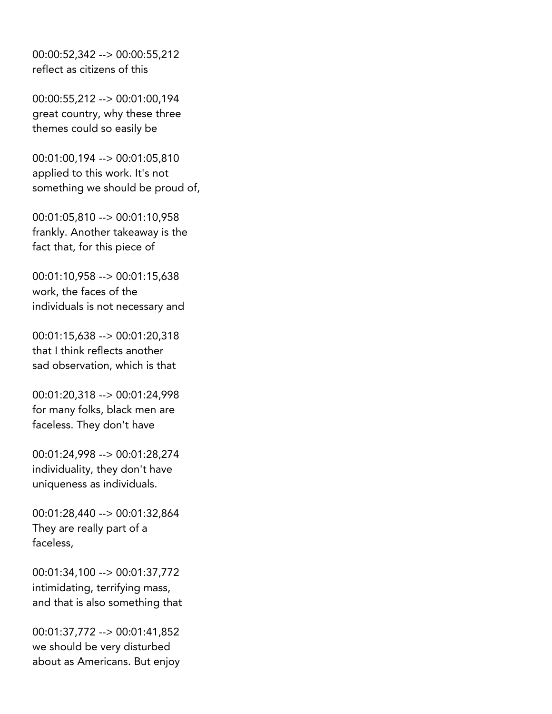00:00:52,342 --> 00:00:55,212 reflect as citizens of this

00:00:55,212 --> 00:01:00,194 great country, why these three themes could so easily be

00:01:00,194 --> 00:01:05,810 applied to this work. It's not something we should be proud of,

00:01:05,810 --> 00:01:10,958 frankly. Another takeaway is the fact that, for this piece of

00:01:10,958 --> 00:01:15,638 work, the faces of the individuals is not necessary and

00:01:15,638 --> 00:01:20,318 that I think reflects another sad observation, which is that

00:01:20,318 --> 00:01:24,998 for many folks, black men are faceless. They don't have

00:01:24,998 --> 00:01:28,274 individuality, they don't have uniqueness as individuals.

00:01:28,440 --> 00:01:32,864 They are really part of a faceless,

00:01:34,100 --> 00:01:37,772 intimidating, terrifying mass, and that is also something that

00:01:37,772 --> 00:01:41,852 we should be very disturbed about as Americans. But enjoy